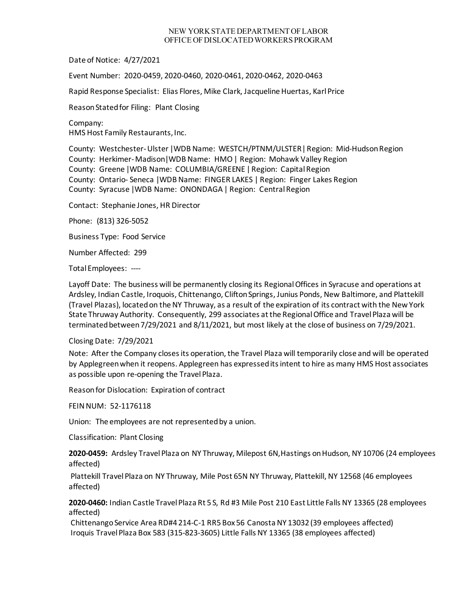## NEW YORK STATE DEPARTMENT OF LABOR OFFICE OF DISLOCATED WORKERS PROGRAM

Date of Notice: 4/27/2021

Event Number: 2020-0459, 2020-0460, 2020-0461, 2020-0462, 2020-0463

Rapid Response Specialist: Elias Flores, Mike Clark, Jacqueline Huertas, Karl Price

Reason Stated for Filing: Plant Closing

Company: HMS Host Family Restaurants, Inc.

County: Westchester-Ulster |WDB Name: WESTCH/PTNM/ULSTER| Region: Mid-Hudson Region County: [Herkimer-](https://en.wikipedia.org/wiki/Herkimer_County,_New_York)Madison|WDB Name: HMO | Region: Mohawk Valley Region County: Greene |WDB Name: COLUMBIA/GREENE | Region: Capital Region County: Ontario- Seneca |WDB Name: FINGER LAKES | Region: Finger Lakes Region County: Syracuse |WDB Name: ONONDAGA| Region: Central Region

Contact: Stephanie Jones, HR Director

Phone: (813) 326-5052

Business Type: Food Service

Number Affected: 299

Total Employees: ----

Layoff Date: The business will be permanently closing its Regional Offices in Syracuse and operations at Ardsley, Indian Castle, Iroquois, Chittenango, Clifton Springs, Junius Ponds, New Baltimore, and Plattekill (Travel Plazas), located on the NY Thruway, as a result of the expiration of its contract with the New York State Thruway Authority. Consequently, 299 associates at the Regional Office and Travel Plaza will be terminated between 7/29/2021 and 8/11/2021, but most likely at the close of business on 7/29/2021.

## Closing Date: 7/29/2021

Note: After the Company closes its operation, the Travel Plaza will temporarily close and will be operated by Applegreen when it reopens. Applegreen has expressed its intent to hire as many HMS Host associates as possible upon re-opening the Travel Plaza.

Reason for Dislocation: Expiration of contract

FEIN NUM: 52-1176118

Union: The employees are not represented by a union.

Classification: Plant Closing

**2020-0459:** Ardsley Travel Plaza on NY Thruway, Milepost 6N,Hastings on Hudson, NY 10706 (24 employees affected)

Plattekill Travel Plaza on NY Thruway, Mile Post 65N NY Thruway, Plattekill, NY 12568 (46 employees affected)

**2020-0460:** Indian Castle Travel Plaza Rt 5 S, Rd #3 Mile Post 210 East Little Falls NY 13365 (28 employees affected)

Chittenango Service Area RD#4 214-C-1 RR5 Box 56 Canosta NY 13032 (39 employees affected) Iroquis Travel Plaza Box 583 (315-823-3605) Little Falls NY 13365 (38 employees affected)